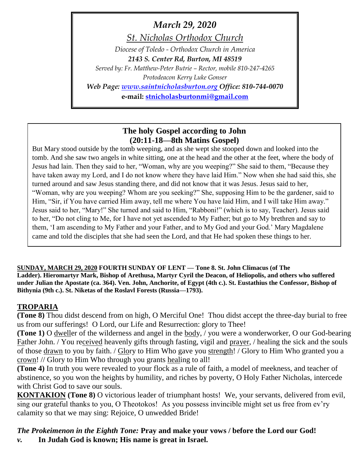# *March 29, 2020*

*St. Nicholas Orthodox Church*

*Diocese of Toledo - Orthodox Church in America 2143 S. Center Rd, Burton, MI 48519*

*Served by: Fr. Matthew-Peter Butrie – Rector, mobile 810-247-4265 Protodeacon Kerry Luke Gonser*

*Web Page: [www.saintnicholasburton.org](http://www.saintnicholasburton.org/) Office: 810-744-0070*

**e-mail: [stnicholasburtonmi@gmail.com](mailto:stnicholasburtonmi@gmail.com)**

# **The holy Gospel according to John (20:11-18—8th Matins Gospel)**

But Mary stood outside by the tomb weeping, and as she wept she stooped down and looked into the tomb. And she saw two angels in white sitting, one at the head and the other at the feet, where the body of Jesus had lain. Then they said to her, "Woman, why are you weeping?" She said to them, "Because they have taken away my Lord, and I do not know where they have laid Him." Now when she had said this, she turned around and saw Jesus standing there, and did not know that it was Jesus. Jesus said to her, "Woman, why are you weeping? Whom are you seeking?" She, supposing Him to be the gardener, said to Him, "Sir, if You have carried Him away, tell me where You have laid Him, and I will take Him away." Jesus said to her, "Mary!" She turned and said to Him, "Rabboni!" (which is to say, Teacher). Jesus said to her, "Do not cling to Me, for I have not yet ascended to My Father; but go to My brethren and say to them, 'I am ascending to My Father and your Father, and to My God and your God.' Mary Magdalene came and told the disciples that she had seen the Lord, and that He had spoken these things to her.

**SUNDAY, MARCH 29, 2020 FOURTH SUNDAY OF LENT — Tone 8. St. John Climacus (of The Ladder). Hieromartyr Mark, Bishop of Arethusa, Martyr Cyril the Deacon, of Heliopolis, and others who suffered under Julian the Apostate (ca. 364). Ven. John, Anchorite, of Egypt (4th c.). St. Eustathius the Confessor, Bishop of Bithynia (9th c.). St. Niketas of the Roslavl Forests (Russia—1793).**

# **TROPARIA**

**(Tone 8)** Thou didst descend from on high, O Merciful One! Thou didst accept the three-day burial to free us from our sufferings! O Lord, our Life and Resurrection: glory to Thee!

**(Tone 1)** O dweller of the wilderness and angel in the body, / you were a wonderworker, O our God-bearing Father John. / You received heavenly gifts through fasting, vigil and prayer, / healing the sick and the souls of those drawn to you by faith. / Glory to Him Who gave you strength! / Glory to Him Who granted you a crown! // Glory to Him Who through you grants healing to all!

**(Tone 4)** In truth you were revealed to your flock as a rule of faith, a model of meekness, and teacher of abstinence, so you won the heights by humility, and riches by poverty, O Holy Father Nicholas, intercede with Christ God to save our souls.

**KONTAKION (Tone 8)** O victorious leader of triumphant hosts! We, your servants, delivered from evil, sing our grateful thanks to you, O Theotokos! As you possess invincible might set us free from ev'ry calamity so that we may sing: Rejoice, O unwedded Bride!

*The Prokeimenon in the Eighth Tone:* **Pray and make your vows / before the Lord our God!** *v.* **In Judah God is known; His name is great in Israel.**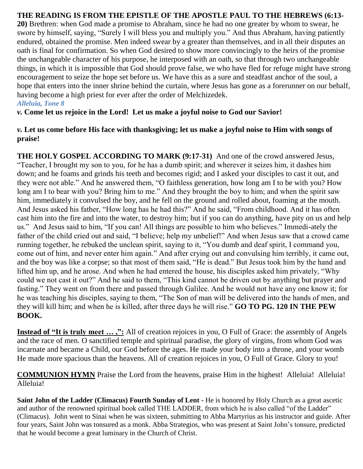## **THE READING IS FROM THE EPISTLE OF THE APOSTLE PAUL TO THE HEBREWS (6:13-**

**20)** Brethren: when God made a promise to Abraham, since he had no one greater by whom to swear, he swore by himself, saying, "Surely I will bless you and multiply you." And thus Abraham, having patiently endured, obtained the promise. Men indeed swear by a greater than themselves, and in all their disputes an oath is final for confirmation. So when God desired to show more convincingly to the heirs of the promise the unchangeable character of his purpose, he interposed with an oath, so that through two unchangeable things, in which it is impossible that God should prove false, we who have fled for refuge might have strong encouragement to seize the hope set before us. We have this as a sure and steadfast anchor of the soul, a hope that enters into the inner shrine behind the curtain, where Jesus has gone as a forerunner on our behalf, having become a high priest for ever after the order of Melchizedek. *Alleluia, Tone 8*

*v.* **Come let us rejoice in the Lord! Let us make a joyful noise to God our Savior!**

## *v.* **Let us come before His face with thanksgiving; let us make a joyful noise to Him with songs of praise!**

**THE HOLY GOSPEL ACCORDING TO MARK (9:17-31)** And one of the crowd answered Jesus, "Teacher, I brought my son to you, for he has a dumb spirit; and wherever it seizes him, it dashes him down; and he foams and grinds his teeth and becomes rigid; and I asked your disciples to cast it out, and they were not able." And he answered them, "O faithless generation, how long am I to be with you? How long am I to bear with you? Bring him to me." And they brought the boy to him; and when the spirit saw him, immediately it convulsed the boy, and he fell on the ground and rolled about, foaming at the mouth. And Jesus asked his father, "How long has he had this?" And he said, "From childhood. And it has often cast him into the fire and into the water, to destroy him; but if you can do anything, have pity on us and help us." And Jesus said to him, "If you can! All things are possible to him who believes." Immedi-ately the father of the child cried out and said, "I believe; help my unbelief!" And when Jesus saw that a crowd came running together, he rebuked the unclean spirit, saying to it, "You dumb and deaf spirit, I command you, come out of him, and never enter him again." And after crying out and convulsing him terribly, it came out, and the boy was like a corpse; so that most of them said, "He is dead." But Jesus took him by the hand and lifted him up, and he arose. And when he had entered the house, his disciples asked him privately, "Why could we not cast it out?" And he said to them, "This kind cannot be driven out by anything but prayer and fasting." They went on from there and passed through Galilee. And he would not have any one know it; for he was teaching his disciples, saying to them, "The Son of man will be delivered into the hands of men, and they will kill him; and when he is killed, after three days he will rise." **GO TO PG. 120 IN THE PEW BOOK.**

**Instead of "It is truly meet ...,":** All of creation rejoices in you, O Full of Grace: the assembly of Angels and the race of men. O sanctified temple and spiritual paradise, the glory of virgins, from whom God was incarnate and became a Child, our God before the ages. He made your body into a throne, and your womb He made more spacious than the heavens. All of creation rejoices in you, O Full of Grace. Glory to you!

**COMMUNION HYMN** Praise the Lord from the heavens, praise Him in the highest! Alleluia! Alleluia! Alleluia!

**Saint John of the Ladder (Climacus) Fourth Sunday of Lent -** He is honored by Holy Church as a great ascetic and author of the renowned spiritual book called THE LADDER, from which he is also called "of the Ladder" (Climacus). John went to Sinai when he was sixteen, submitting to Abba Martyrius as his instructor and guide. After four years, Saint John was tonsured as a monk. Abba Strategios, who was present at Saint John's tonsure, predicted that he would become a great luminary in the Church of Christ.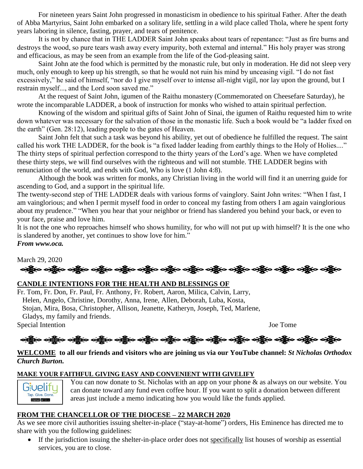For nineteen years Saint John progressed in monasticism in obedience to his spiritual Father. After the death of Abba Martyrius, Saint John embarked on a solitary life, settling in a wild place called Thola, where he spent forty years laboring in silence, fasting, prayer, and tears of penitence.

It is not by chance that in THE LADDER Saint John speaks about tears of repentance: "Just as fire burns and destroys the wood, so pure tears wash away every impurity, both external and internal." His holy prayer was strong and efficacious, as may be seen from an example from the life of the God-pleasing saint.

Saint John ate the food which is permitted by the monastic rule, but only in moderation. He did not sleep very much, only enough to keep up his strength, so that he would not ruin his mind by unceasing vigil. "I do not fast excessively," he said of himself, "nor do I give myself over to intense all-night vigil, nor lay upon the ground, but I restrain myself..., and the Lord soon saved me."

At the request of Saint John, igumen of the Raithu monastery (Commemorated on Cheesefare Saturday), he wrote the incomparable LADDER, a book of instruction for monks who wished to attain spiritual perfection.

Knowing of the wisdom and spiritual gifts of Saint John of Sinai, the igumen of Raithu requested him to write down whatever was necessary for the salvation of those in the monastic life. Such a book would be "a ladder fixed on the earth" (Gen. 28:12), leading people to the gates of Heaven.

Saint John felt that such a task was beyond his ability, yet out of obedience he fulfilled the request. The saint called his work THE LADDER, for the book is "a fixed ladder leading from earthly things to the Holy of Holies...." The thirty steps of spiritual perfection correspond to the thirty years of the Lord's age. When we have completed these thirty steps, we will find ourselves with the righteous and will not stumble. THE LADDER begins with renunciation of the world, and ends with God, Who is love (1 John 4:8).

Although the book was written for monks, any Christian living in the world will find it an unerring guide for ascending to God, and a support in the spiritual life.

The twenty-second step of THE LADDER deals with various forms of vainglory. Saint John writes: "When I fast, I am vainglorious; and when I permit myself food in order to conceal my fasting from others I am again vainglorious about my prudence." "When you hear that your neighbor or friend has slandered you behind your back, or even to your face, praise and love him.

It is not the one who reproaches himself who shows humility, for who will not put up with himself? It is the one who is slandered by another, yet continues to show love for him."

#### *From www.oca.*

March 29, 2020 ခရွိက ခရွိက ခရွိက ခရွိက အိုင်း အိုင်း ခရွိက ခရွိက ခရွိက ခရွိက ခရွိက ခရွိက ခရွိက ခရွိက ခရွိက ခရွိက

## **CANDLE INTENTIONS FOR THE HEALTH AND BLESSINGS OF**

Fr. Tom, Fr. Don, Fr. Paul, Fr. Anthony, Fr. Robert, Aaron, Milica, Calvin, Larry, Helen, Angelo, Christine, Dorothy, Anna, Irene, Allen, Deborah, Luba, Kosta, Stojan, Mira, Bosa, Christopher, Allison, Jeanette, Katheryn, Joseph, Ted, Marlene, Gladys, my family and friends. Special Intention Joe Tome

# 

#### **WELCOME to all our friends and visitors who are joining us via our YouTube channel:** *St Nicholas Orthodox Church Burton.*

#### **MAKE YOUR FAITHFUL GIVING EASY AND CONVENIENT WITH GIVELIFY**



You can now donate to St. Nicholas with an app on your phone  $\&$  as always on our website. You can donate toward any fund even coffee hour. If you want to split a donation between different areas just include a memo indicating how you would like the funds applied.

#### **FROM THE CHANCELLOR OF THE DIOCESE – 22 MARCH 2020**

As we see more civil authorities issuing shelter-in-place ("stay-at-home") orders, His Eminence has directed me to share with you the following guidelines:

 If the jurisdiction issuing the shelter-in-place order does not specifically list houses of worship as essential services, you are to close.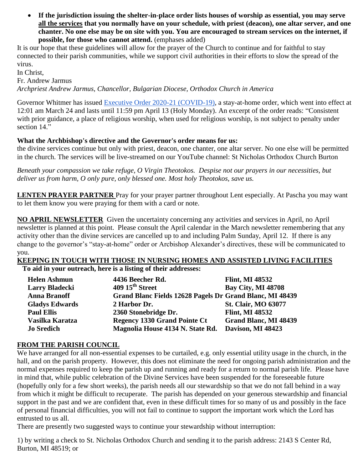**If the jurisdiction issuing the shelter-in-place order lists houses of worship as essential, you may serve all the services that you normally have on your schedule, with priest (deacon), one altar server, and one chanter. No one else may be on site with you. You are encouraged to stream services on the internet, if possible, for those who cannot attend.** (emphases added)

It is our hope that these guidelines will allow for the prayer of the Church to continue and for faithful to stay connected to their parish communities, while we support civil authorities in their efforts to slow the spread of the virus.

In Christ,

Fr. Andrew Jarmus

*Archpriest Andrew Jarmus, Chancellor, Bulgarian Diocese, Orthodox Church in America*

Governor Whitmer has issued **Executive Order 2020-21 (COVID-19)**, a stay-at-home order, which went into effect at 12:01 am March 24 and lasts until 11:59 pm April 13 (Holy Monday). An excerpt of the order reads: "Consistent with prior guidance, a place of religious worship, when used for religious worship, is not subject to penalty under section 14."

### **What the Archbishop's directive and the Governor's order means for us:**

the divine services continue but only with priest, deacon, one chanter, one altar server. No one else will be permitted in the church. The services will be live-streamed on our YouTube channel: St Nicholas Orthodox Church Burton

*Beneath your compassion we take refuge, O Virgin Theotokos. Despise not our prayers in our necessities, but deliver us from harm, O only pure, only blessed one. Most holy Theotokos, save us.*

**LENTEN PRAYER PARTNER** Pray for your prayer partner throughout Lent especially. At Pascha you may want to let them know you were praying for them with a card or note.

**NO APRIL NEWSLETTER** Given the uncertainty concerning any activities and services in April, no April newsletter is planned at this point. Please consult the April calendar in the March newsletter remembering that any activity other than the divine services are cancelled up to and including Palm Sunday, April 12. If there is any change to the governor's "stay-at-home" order or Arcbishop Alexander's directives, these will be communicated to you.

#### **KEEPING IN TOUCH WITH THOSE IN NURSING HOMES AND ASSISTED LIVING FACILITIES**

**To aid in your outreach, here is a listing of their addresses:**

| <b>Helen Ashmun</b>   | 4436 Beecher Rd.                                         | <b>Flint, MI 48532</b>       |
|-----------------------|----------------------------------------------------------|------------------------------|
| <b>Larry Bladecki</b> | $409\,15^{\text{th}}$ Street                             | <b>Bay City, MI 48708</b>    |
| <b>Anna Branoff</b>   | Grand Blanc Fields 12628 Pagels Dr Grand Blanc, MI 48439 |                              |
| <b>Gladys Edwards</b> | 2 Harbor Dr.                                             | <b>St. Clair, MO 63077</b>   |
| <b>Paul Ellis</b>     | 2360 Stonebridge Dr.                                     | <b>Flint, MI 48532</b>       |
| Vasilka Karatza       | <b>Regency 1330 Grand Pointe Ct</b>                      | <b>Grand Blanc, MI 48439</b> |
| <b>Jo Sredich</b>     | Magnolia House 4134 N. State Rd.                         | Davison, MI 48423            |

## **FROM THE PARISH COUNCIL**

We have arranged for all non-essential expenses to be curtailed, e.g. only essential utility usage in the church, in the hall, and on the parish property. However, this does not eliminate the need for ongoing parish administration and the normal expenses required to keep the parish up and running and ready for a return to normal parish life. Please have in mind that, while public celebration of the Divine Services have been suspended for the foreseeable future (hopefully only for a few short weeks), the parish needs all our stewardship so that we do not fall behind in a way from which it might be difficult to recuperate. The parish has depended on your generous stewardship and financial support in the past and we are confident that, even in these difficult times for so many of us and possibly in the face of personal financial difficulties, you will not fail to continue to support the important work which the Lord has entrusted to us all.

There are presently two suggested ways to continue your stewardship without interruption:

1) by writing a check to St. Nicholas Orthodox Church and sending it to the parish address: 2143 S Center Rd, Burton, MI 48519; or